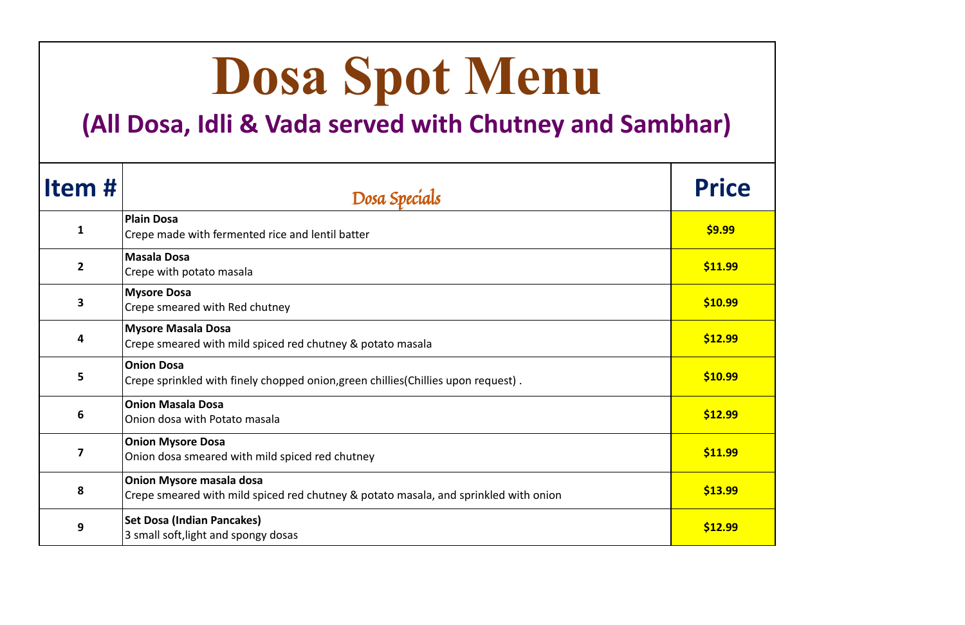| Dosa Spot Menu<br>(All Dosa, Idli & Vada served with Chutney and Sambhar) |                                                                                                                         |              |
|---------------------------------------------------------------------------|-------------------------------------------------------------------------------------------------------------------------|--------------|
| Item#                                                                     | Dosa Specials                                                                                                           | <b>Price</b> |
| $\mathbf{1}$                                                              | <b>Plain Dosa</b><br>Crepe made with fermented rice and lentil batter                                                   | \$9.99       |
| $\overline{2}$                                                            | <b>Masala Dosa</b><br>Crepe with potato masala                                                                          | \$11.99      |
| $\overline{\mathbf{3}}$                                                   | <b>Mysore Dosa</b><br>Crepe smeared with Red chutney                                                                    | \$10.99      |
| 4                                                                         | <b>Mysore Masala Dosa</b><br>Crepe smeared with mild spiced red chutney & potato masala                                 | \$12.99      |
| 5                                                                         | <b>Onion Dosa</b><br>Crepe sprinkled with finely chopped onion, green chillies (Chillies upon request).                 | \$10.99      |
| 6                                                                         | <b>Onion Masala Dosa</b><br>Onion dosa with Potato masala                                                               | \$12.99      |
| $\overline{\mathbf{z}}$                                                   | <b>Onion Mysore Dosa</b><br>Onion dosa smeared with mild spiced red chutney                                             | \$11.99      |
| 8                                                                         | <b>Onion Mysore masala dosa</b><br>Crepe smeared with mild spiced red chutney & potato masala, and sprinkled with onion | \$13.99      |
| 9                                                                         | <b>Set Dosa (Indian Pancakes)</b><br>3 small soft, light and spongy dosas                                               | \$12.99      |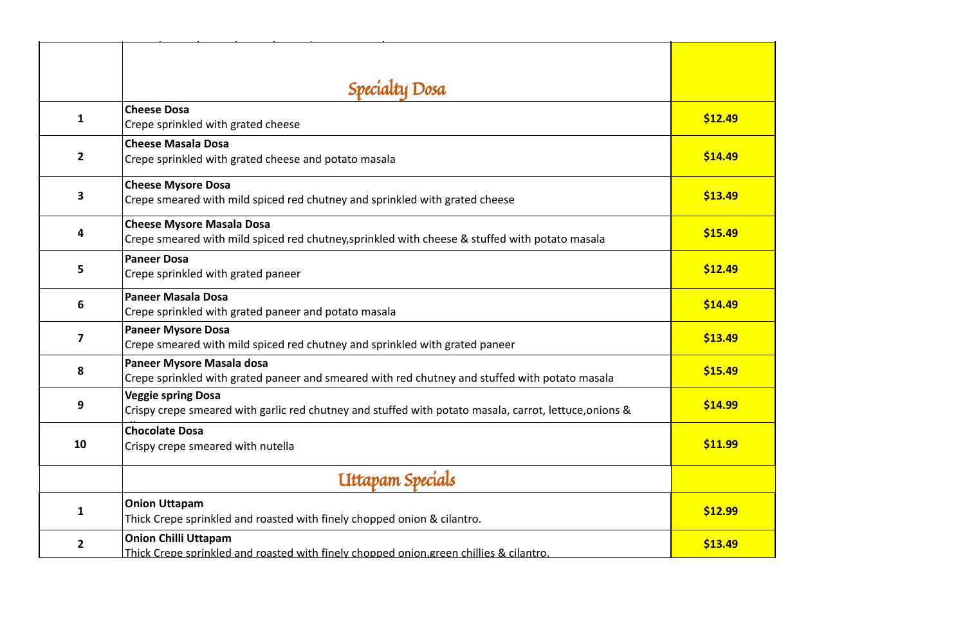|                         | Specialty Dosa                                                                                                                      |         |
|-------------------------|-------------------------------------------------------------------------------------------------------------------------------------|---------|
| $\mathbf{1}$            | <b>Cheese Dosa</b><br>Crepe sprinkled with grated cheese                                                                            | \$12.49 |
| $\overline{2}$          | <b>Cheese Masala Dosa</b><br>Crepe sprinkled with grated cheese and potato masala                                                   | \$14.49 |
| $\mathbf{3}$            | <b>Cheese Mysore Dosa</b><br>Crepe smeared with mild spiced red chutney and sprinkled with grated cheese                            | \$13.49 |
| 4                       | <b>Cheese Mysore Masala Dosa</b><br>Crepe smeared with mild spiced red chutney, sprinkled with cheese & stuffed with potato masala  | \$15.49 |
| 5                       | <b>Paneer Dosa</b><br>Crepe sprinkled with grated paneer                                                                            | \$12.49 |
| 6                       | <b>Paneer Masala Dosa</b><br>Crepe sprinkled with grated paneer and potato masala                                                   | \$14.49 |
| $\overline{\mathbf{z}}$ | <b>Paneer Mysore Dosa</b><br>Crepe smeared with mild spiced red chutney and sprinkled with grated paneer                            | \$13.49 |
| 8                       | Paneer Mysore Masala dosa<br>Crepe sprinkled with grated paneer and smeared with red chutney and stuffed with potato masala         | \$15.49 |
| 9                       | <b>Veggie spring Dosa</b><br>Crispy crepe smeared with garlic red chutney and stuffed with potato masala, carrot, lettuce, onions & | \$14.99 |
| <b>10</b>               | <b>Chocolate Dosa</b><br>Crispy crepe smeared with nutella                                                                          | \$11.99 |
|                         | Uttapam Specials                                                                                                                    |         |
| 1                       | <b>Onion Uttapam</b><br>Thick Crepe sprinkled and roasted with finely chopped onion & cilantro.                                     | \$12.99 |
| $\overline{2}$          | <b>Onion Chilli Uttapam</b><br>Thick Crepe sprinkled and roasted with finely chopped onion, green chillies & cilantro.              | \$13.49 |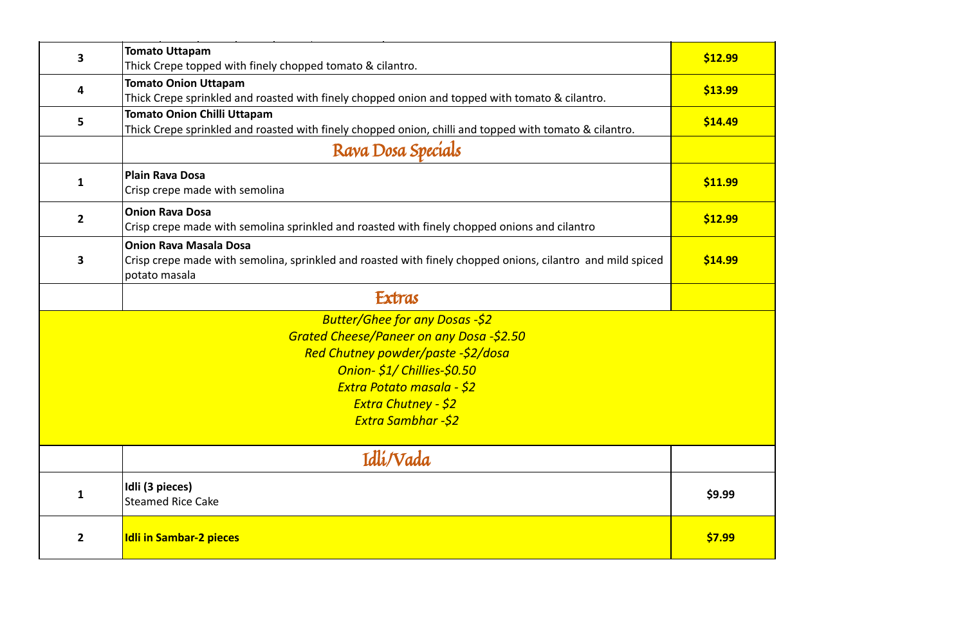| 3                       | <b>Tomato Uttapam</b><br>Thick Crepe topped with finely chopped tomato & cilantro.                                                                           | \$12.99 |
|-------------------------|--------------------------------------------------------------------------------------------------------------------------------------------------------------|---------|
| 4                       | <b>Tomato Onion Uttapam</b><br>Thick Crepe sprinkled and roasted with finely chopped onion and topped with tomato & cilantro.                                | \$13.99 |
| 5                       | <b>Tomato Onion Chilli Uttapam</b><br>Thick Crepe sprinkled and roasted with finely chopped onion, chilli and topped with tomato & cilantro.                 | \$14.49 |
|                         | Rava Dosa Specials                                                                                                                                           |         |
| $\mathbf{1}$            | <b>Plain Rava Dosa</b><br>Crisp crepe made with semolina                                                                                                     | \$11.99 |
| $\mathbf{2}$            | <b>Onion Rava Dosa</b><br>Crisp crepe made with semolina sprinkled and roasted with finely chopped onions and cilantro                                       | \$12.99 |
| $\overline{\mathbf{3}}$ | <b>Onion Rava Masala Dosa</b><br>Crisp crepe made with semolina, sprinkled and roasted with finely chopped onions, cilantro and mild spiced<br>potato masala | \$14.99 |
|                         | Extras                                                                                                                                                       |         |
|                         | <b>Butter/Ghee for any Dosas -\$2</b>                                                                                                                        |         |
|                         | Grated Cheese/Paneer on any Dosa -\$2.50                                                                                                                     |         |
|                         | Red Chutney powder/paste -\$2/dosa                                                                                                                           |         |
|                         | Onion- \$1/ Chillies-\$0.50                                                                                                                                  |         |
|                         | <u> Extra Potato masala - \$2</u>                                                                                                                            |         |
|                         | <b>Extra Chutney - \$2</b>                                                                                                                                   |         |
|                         | <b>Extra Sambhar -\$2</b>                                                                                                                                    |         |
|                         | Idlí/Vada                                                                                                                                                    |         |
| $\mathbf{1}$            | Idli (3 pieces)<br><b>Steamed Rice Cake</b>                                                                                                                  | \$9.99  |
| $\overline{2}$          | <b>Idli in Sambar-2 pieces</b>                                                                                                                               | \$7.99  |

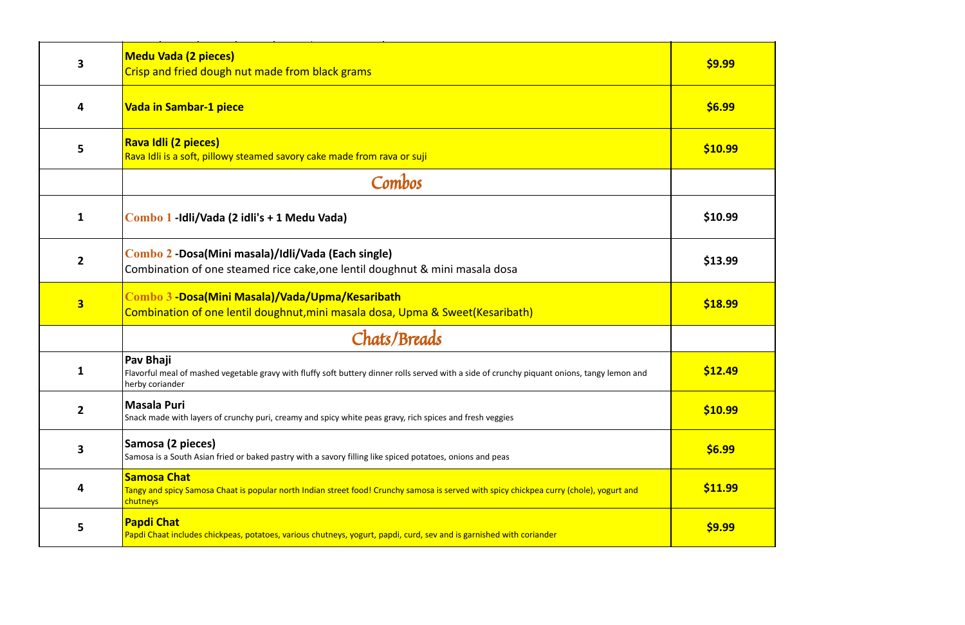| 3                       | <b>Medu Vada (2 pieces)</b><br>Crisp and fried dough nut made from black grams                                                                                               | \$9.99  |
|-------------------------|------------------------------------------------------------------------------------------------------------------------------------------------------------------------------|---------|
| 4                       | <b>Vada in Sambar-1 piece</b>                                                                                                                                                | \$6.99  |
| $5\phantom{1}$          | Rava Idli (2 pieces)<br>Rava Idli is a soft, pillowy steamed savory cake made from rava or suji                                                                              | \$10.99 |
|                         | Combos                                                                                                                                                                       |         |
| $\mathbf{1}$            | Combo 1 -Idli/Vada (2 idli's + 1 Medu Vada)                                                                                                                                  | \$10.99 |
| $\overline{2}$          | Combo 2 -Dosa(Mini masala)/Idli/Vada (Each single)<br>Combination of one steamed rice cake, one lentil doughnut & mini masala dosa                                           | \$13.99 |
| $\overline{\mathbf{3}}$ | Combo 3 -Dosa(Mini Masala)/Vada/Upma/Kesaribath<br>Combination of one lentil doughnut, mini masala dosa, Upma & Sweet (Kesaribath)                                           | \$18.99 |
|                         | Chats/Breads                                                                                                                                                                 |         |
| 1                       | Pav Bhaji<br>Flavorful meal of mashed vegetable gravy with fluffy soft buttery dinner rolls served with a side of crunchy piquant onions, tangy lemon and<br>herby coriander | \$12.49 |
| $\overline{2}$          | <b>Masala Puri</b><br>Snack made with layers of crunchy puri, creamy and spicy white peas gravy, rich spices and fresh veggies                                               | \$10.99 |
| 3                       | Samosa (2 pieces)<br>Samosa is a South Asian fried or baked pastry with a savory filling like spiced potatoes, onions and peas                                               | \$6.99  |
| 4                       | <b>Samosa Chat</b><br>Tangy and spicy Samosa Chaat is popular north Indian street food! Crunchy samosa is served with spicy chickpea curry (chole), yogurt and<br>chutneys   | \$11.99 |
| 5                       | <b>Papdi Chat</b><br>Papdi Chaat includes chickpeas, potatoes, various chutneys, yogurt, papdi, curd, sev and is garnished with coriander                                    | \$9.99  |

| \$9.99  |
|---------|
| \$6.99  |
| \$10.99 |
|         |
| \$10.99 |
| \$13.99 |
| \$18.99 |
|         |
| \$12.49 |
| \$10.99 |
| \$6.99  |
| \$11.99 |
| \$9.99  |